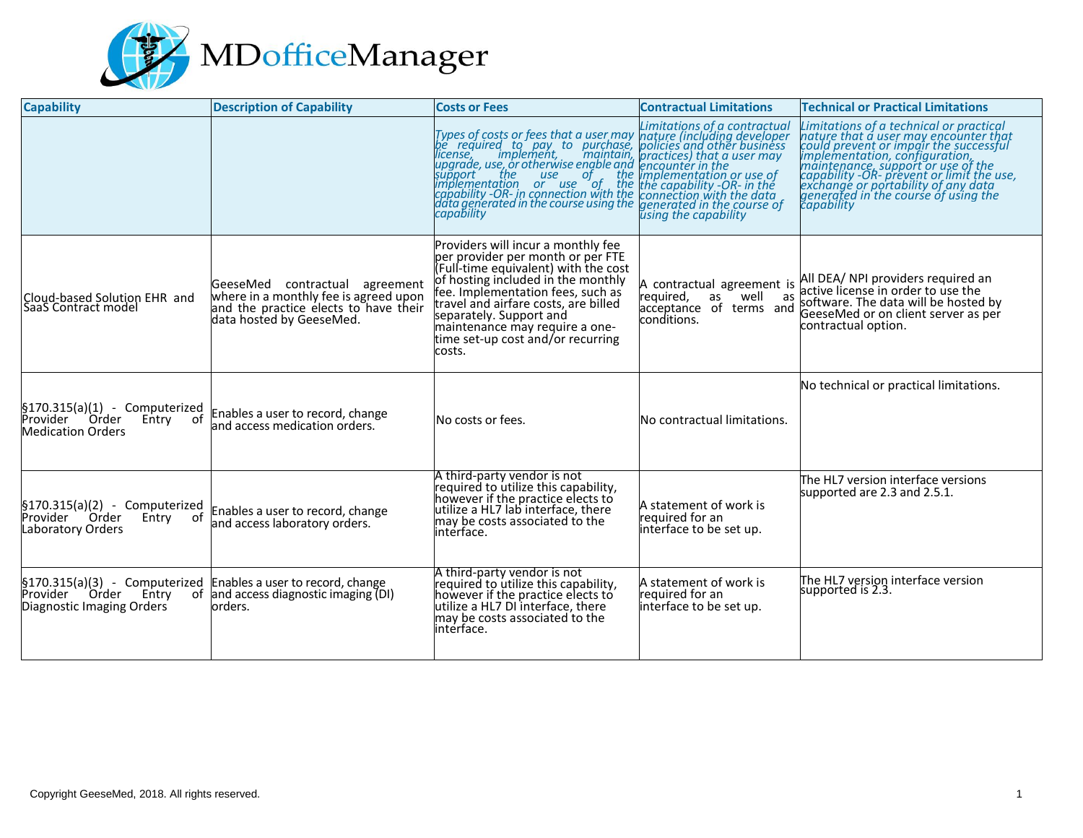

| <b>Capability</b>                                                                            | <b>Description of Capability</b>                                                                                                             | <b>Costs or Fees</b>                                                                                                                                                                                                                                                                                                                           | <b>Contractual Limitations</b>                                                                        | <b>Technical or Practical Limitations</b>                                                                                                                                                                                                                                                     |
|----------------------------------------------------------------------------------------------|----------------------------------------------------------------------------------------------------------------------------------------------|------------------------------------------------------------------------------------------------------------------------------------------------------------------------------------------------------------------------------------------------------------------------------------------------------------------------------------------------|-------------------------------------------------------------------------------------------------------|-----------------------------------------------------------------------------------------------------------------------------------------------------------------------------------------------------------------------------------------------------------------------------------------------|
|                                                                                              |                                                                                                                                              | Types of costs or fees that a user may hatture (including developer<br>be required to pay to purchase, policies and other business<br>license, implement, maintain, practices) that user may<br>upgrade, use, or otherwise engble and e                                                                                                        |                                                                                                       | Limitations of a technical or practical<br><i>Eminutions of a technical mature that a user may encounter that</i><br>could prevent or impair the successful<br>implementation, configuration,<br>maintenance, support or use of the<br>capability -OR- prevent or immit the use,<br>schange o |
| Cloud-based Solution EHR and<br>SaaS Contract model                                          | GeeseMed contractual agreement<br>where in a monthly fee is agreed upon<br>and the practice elects to have their<br>data hosted by GeeseMed. | Providers will incur a monthly fee<br>per provider per month or per FTE<br>(Full-time equivalent) with the cost<br>of hosting included in the monthly<br>fee. Implementation fees, such as<br>travel and airfare costs, are billed<br>separately. Support and<br>maintenance may require a one-<br>time set-up cost and/or recurring<br>costs. | A contractual agreement is<br>required,<br>as<br>well<br>as<br>acceptance of terms and<br>conditions. | All DEA/ NPI providers required an<br>active license in order to use the<br>software. The data will be hosted by<br>GeeseMed or on client server as per<br>contractual option.                                                                                                                |
| $$170.315(a)(1) - Computerized$<br>Provider Order<br>Entry<br>of<br><b>Medication Orders</b> | Enables a user to record, change<br>and access medication orders.                                                                            | No costs or fees.                                                                                                                                                                                                                                                                                                                              | No contractual limitations.                                                                           | No technical or practical limitations.                                                                                                                                                                                                                                                        |
| $$170.315(a)(2) - Computerized$<br>Provider Order<br>Entry<br>of<br><b>Laboratory Orders</b> | Enables a user to record, change<br>and access laboratory orders.                                                                            | A third-party vendor is not<br>required to utilize this capability,<br>however if the practice elects to<br>utilize a HL7 lab interface, there<br>may be costs associated to the<br>interface.                                                                                                                                                 | A statement of work is<br>required for an<br>interface to be set up.                                  | The HL7 version interface versions<br>supported are 2.3 and 2.5.1.                                                                                                                                                                                                                            |
| $$170.315(a)(3) - Computerized$<br>Provider<br>Order Entry<br>Diagnostic Imaging Orders      | Enables a user to record, change<br>of and access diagnostic imaging (DI)<br>orders.                                                         | A third-party vendor is not<br>required to utilize this capability,<br>however if the practice elects to<br>utilize a HL7 DI interface, there<br>may be costs associated to the<br>interface.                                                                                                                                                  | A statement of work is<br>required for an<br>interface to be set up.                                  | The HL7 version interface version<br>supported is 2.3.                                                                                                                                                                                                                                        |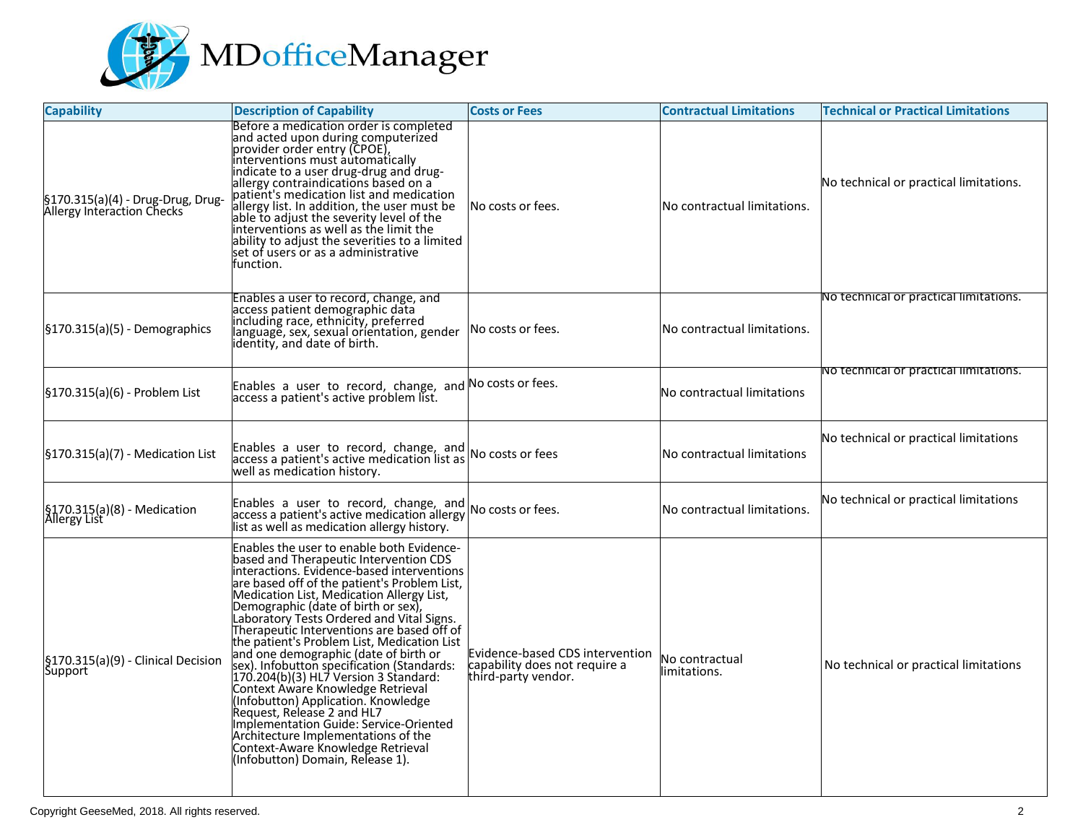

| <b>Capability</b>                                               | <b>Description of Capability</b>                                                                                                                                                                                                                                                                                                                                                                                                                                                                                                                                                                                                                                                                                                                         | <b>Costs or Fees</b>                                                                    | <b>Contractual Limitations</b> | <b>Technical or Practical Limitations</b> |
|-----------------------------------------------------------------|----------------------------------------------------------------------------------------------------------------------------------------------------------------------------------------------------------------------------------------------------------------------------------------------------------------------------------------------------------------------------------------------------------------------------------------------------------------------------------------------------------------------------------------------------------------------------------------------------------------------------------------------------------------------------------------------------------------------------------------------------------|-----------------------------------------------------------------------------------------|--------------------------------|-------------------------------------------|
| §170.315(a)(4) - Drug-Drug, Drug-<br>Allergy Interaction Checks | Before a medication order is completed<br>Before a medication order is completed<br>and acted upon during computerized<br>provider order entry (CPOE),<br>interventions must automatically<br>indicate to a user drug-drug and drug-<br>allergy contraindications based on a<br>patient's<br>ability to adjust the severities to a limited<br>set of users or as a administrative<br>function.                                                                                                                                                                                                                                                                                                                                                           | No costs or fees.                                                                       | No contractual limitations.    | No technical or practical limitations.    |
| $\frac{1}{2}$ [5170.315(a)(5) - Demographics                    | Enables a user to record, change, and<br>access patient demographic data<br>including race, ethnicity, preferred<br>language, sex, sexual orientation, gender<br>identity, and date of birth.                                                                                                                                                                                                                                                                                                                                                                                                                                                                                                                                                            | No costs or fees.                                                                       | No contractual limitations.    | No technical or practical limitations.    |
| [§170.315(a)(6) - Problem List                                  | Enables a user to record, change, and No costs or fees.<br>access a patient's active problem list.                                                                                                                                                                                                                                                                                                                                                                                                                                                                                                                                                                                                                                                       |                                                                                         | No contractual limitations     | No technical or practical limitations.    |
| $\frac{1}{2}$ 170.315(a)(7) - Medication List                   | Enables a user to record, change, and $\log$ No costs or fees<br>well as medication history.                                                                                                                                                                                                                                                                                                                                                                                                                                                                                                                                                                                                                                                             |                                                                                         | No contractual limitations     | No technical or practical limitations     |
| §170.315(a)(8) - Medication<br>Allergy List                     | Enables a user to record, change, and $\log$ No costs or fees.<br>ist as well as medication allergy history.                                                                                                                                                                                                                                                                                                                                                                                                                                                                                                                                                                                                                                             |                                                                                         | No contractual limitations.    | No technical or practical limitations     |
| §170.315(a)(9) - Clinical Decision<br>Support                   | Enables the user to enable both Evidence-<br>based and Therapeutic Intervention CDS<br>interactions. Evidence-based interventions<br>meracuous. Evidence-based interventions<br>are based off of the patient's Problem List,<br>Medication List, Medication Allergy List,<br>Demographic (date of birth or sex),<br>Laboratory Tests Ordered and Vital Signs.<br>Therapeutic Inter<br>Therapeutic Interventions are based off of<br>the patient's Problem List, Medication List<br>and one demographic (date of birth or<br>sex). Infobutton specification (Standards:<br>170.204(b)(3) HL7 Version 3 Standard:<br>Context Aware Kn<br>implementation building and the context-<br>Context-Aware Knowledge Retrieval<br>(Infobutton) Domain, Release 1). | Evidence-based CDS intervention<br>capability does not require a<br>third-party vendor. | No contractual<br>limitations. | No technical or practical limitations     |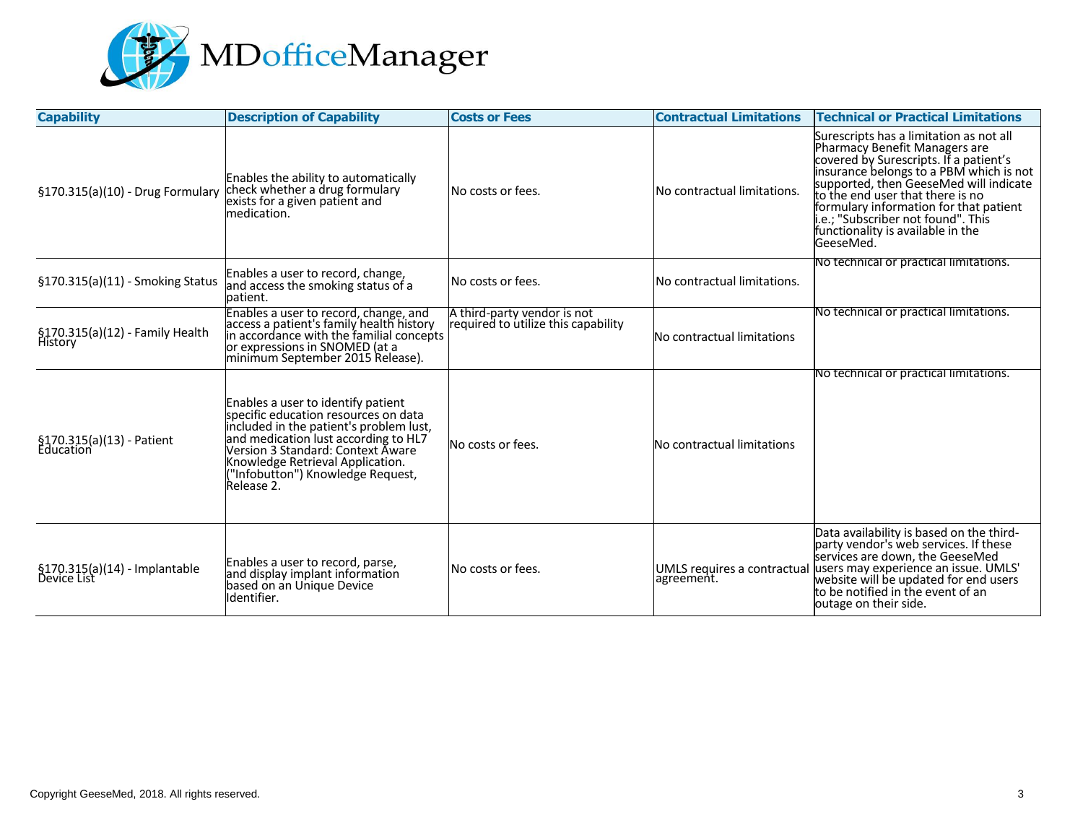

| <b>Capability</b>                            | <b>Description of Capability</b>                                                                                                                                                                                                                                                         | <b>Costs or Fees</b>                                               | <b>Contractual Limitations</b> | <b>Technical or Practical Limitations</b>                                                                                                                                                                                                                                                                                                                                     |
|----------------------------------------------|------------------------------------------------------------------------------------------------------------------------------------------------------------------------------------------------------------------------------------------------------------------------------------------|--------------------------------------------------------------------|--------------------------------|-------------------------------------------------------------------------------------------------------------------------------------------------------------------------------------------------------------------------------------------------------------------------------------------------------------------------------------------------------------------------------|
| §170.315(a)(10) - Drug Formulary             | Enables the ability to automatically<br>check whether a drug formulary<br>exists for a given patient and<br>medication.                                                                                                                                                                  | No costs or fees.                                                  | No contractual limitations.    | Surescripts has a limitation as not all<br>Pharmacy Benefit Managers are<br>covered by Surescripts. If a patient's<br>insurance belongs to a PBM which is not<br>supported, then GeeseMed will indicate<br>to the end user that there is no<br>formulary information for that patient<br>i.e.; "Subscriber not found". This<br>functionality is available in the<br>GeeseMed. |
| §170.315(a)(11) - Smoking Status             | Enables a user to record, change,<br>and access the smoking status of a<br>patient.                                                                                                                                                                                                      | No costs or fees.                                                  | No contractual limitations.    | No technical or practical limitations.                                                                                                                                                                                                                                                                                                                                        |
| §170.315(a)(12) - Family Health<br>History   | Enables a user to record, change, and<br>access a patient's family health history<br>in accordance with the familial concepts<br>or expressions in SNOMED (at a<br>minimum September 2015 Release).                                                                                      | A third-party vendor is not<br>required to utilize this capability | No contractual limitations     | No technical or practical limitations.                                                                                                                                                                                                                                                                                                                                        |
| §170.315(a)(13) - Patient<br>Education       | Enables a user to identify patient<br>specific education resources on data<br>included in the patient's problem lust,<br>and medication lust according to HL7<br>Version 3 Standard: Context Āware<br>Knowledge Retrieval Application.<br>"Infobutton") Knowledge Request,<br>Release 2. | No costs or fees.                                                  | No contractual limitations     | No technical or practical limitations.                                                                                                                                                                                                                                                                                                                                        |
| §170.315(a)(14) - Implantable<br>Device List | Enables a user to record, parse,<br>and display implant information<br>based on an Unique Device<br>Identifier.                                                                                                                                                                          | No costs or fees.                                                  |                                | Data availability is based on the third-<br>party vendor's web services. If these<br>services are down, the GeeseMed<br>UMLS requires a contractual users may experience an issue. UMLS'<br> agreement.   website will be updated for end users<br>to be notified in the event of an<br>outage on their side.                                                                 |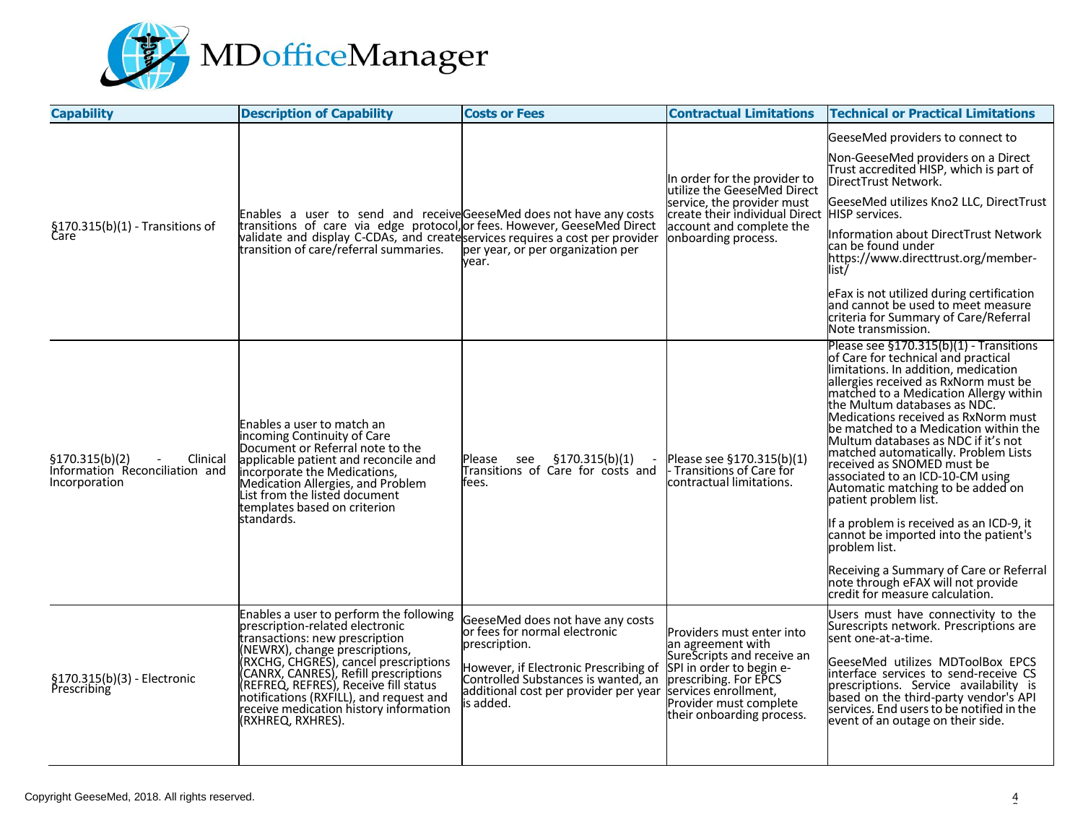

| <b>Capability</b>                                                              | <b>Description of Capability</b>                                                                                                                                                                                                                                                                                                                                                    | <b>Costs or Fees</b>                                                                                                                                                                                                                                                   | <b>Contractual Limitations</b>                                                                                                                               | <b>Technical or Practical Limitations</b>                                                                                                                                                                                                                                                                                                                                                                                                                                                                                                                                                                                                                                                                                                                            |
|--------------------------------------------------------------------------------|-------------------------------------------------------------------------------------------------------------------------------------------------------------------------------------------------------------------------------------------------------------------------------------------------------------------------------------------------------------------------------------|------------------------------------------------------------------------------------------------------------------------------------------------------------------------------------------------------------------------------------------------------------------------|--------------------------------------------------------------------------------------------------------------------------------------------------------------|----------------------------------------------------------------------------------------------------------------------------------------------------------------------------------------------------------------------------------------------------------------------------------------------------------------------------------------------------------------------------------------------------------------------------------------------------------------------------------------------------------------------------------------------------------------------------------------------------------------------------------------------------------------------------------------------------------------------------------------------------------------------|
|                                                                                |                                                                                                                                                                                                                                                                                                                                                                                     |                                                                                                                                                                                                                                                                        |                                                                                                                                                              | GeeseMed providers to connect to                                                                                                                                                                                                                                                                                                                                                                                                                                                                                                                                                                                                                                                                                                                                     |
|                                                                                |                                                                                                                                                                                                                                                                                                                                                                                     |                                                                                                                                                                                                                                                                        | In order for the provider to                                                                                                                                 | Non-GeeseMed providers on a Direct<br>Trust accredited HISP, which is part of<br>DirectTrust Network.                                                                                                                                                                                                                                                                                                                                                                                                                                                                                                                                                                                                                                                                |
|                                                                                | Enables a user to send and receive GeeseMed does not have any costs                                                                                                                                                                                                                                                                                                                 |                                                                                                                                                                                                                                                                        | utilize the GeeseMed Direct<br>service, the provider must<br>create their individual Direct HISP services.                                                   | GeeseMed utilizes Kno2 LLC, DirectTrust                                                                                                                                                                                                                                                                                                                                                                                                                                                                                                                                                                                                                                                                                                                              |
| $§170.315(b)(1)$ - Transitions of<br>Care                                      | transitions of care via edge protocol, or fees. However, GeeseMed Direct<br>validate and display C-CDAs, and createservices requires a cost per provider<br>transition of care/referral summaries.                                                                                                                                                                                  | per year, or per organization per<br>vear.                                                                                                                                                                                                                             | account and complete the<br>onboarding process.                                                                                                              | Information about DirectTrust Network<br>lcan be found under<br>https://www.directtrust.org/member-<br>list/                                                                                                                                                                                                                                                                                                                                                                                                                                                                                                                                                                                                                                                         |
|                                                                                |                                                                                                                                                                                                                                                                                                                                                                                     |                                                                                                                                                                                                                                                                        |                                                                                                                                                              | eFax is not utilized during certification<br>and cannot be used to meet measure<br>criteria for Summary of Care/Referral<br>Note transmission.                                                                                                                                                                                                                                                                                                                                                                                                                                                                                                                                                                                                                       |
| \$170.315(b)(2)<br>Clinical<br>Information Reconciliation and<br>Incorporation | Enables a user to match an<br>incoming Continuity of Care<br>Document or Referral note to the<br>applicable patient and reconcile and<br>incorporate the Medications,<br>Medication Allergies, and Problem<br>List from the listed document<br>templates based on criterion<br>standards.                                                                                           | \$170.315(b)(1)<br>see<br>Please<br>Transitions of Care for costs and<br>fees.                                                                                                                                                                                         | Please see §170.315(b)(1)<br>Transitions of Care for<br>contractual limitations.                                                                             | Please see $$170.315(b)(1)$ - Transitions<br>of Care for technical and practical<br>limitations. In addition, medication<br>allergies received as RxNorm must be<br>matched to a Medication Allergy within<br>the Multum databases as NDC.<br>Medications received as RxNorm must<br>be matched to a Medication within the<br>Multum databases as NDC if it's not<br>matched automatically. Problem Lists<br>received as SNOMED must be<br>associated to an ICD-10-CM using<br>Automatic matching to be added on<br>patient problem list.<br>If a problem is received as an ICD-9, it<br>cannot be imported into the patient's<br>problem list.<br>Receiving a Summary of Care or Referral<br>note through eFAX will not provide<br>lcredit for measure calculation. |
| §170.315(b)(3) - Electronic<br>Prescribing                                     | Enables a user to perform the following<br>prescription-related electronic<br>transactions: new prescription<br>(NEWRX), change prescriptions,<br>(RXCHG, CHGRES), cancel prescriptions<br>(CANRX, CANRES), Refill prescriptions<br>(REFREQ, REFRES), Receive fill status<br>notifications (RXFILL), and request and<br>receive medication history information<br>(RXHREQ, RXHRES). | GeeseMed does not have any costs<br>or fees for normal electronic<br>prescription.<br>However, if Electronic Prescribing of SPI in order to begin e-<br>Controlled Substances is wanted, an<br>additional cost per provider per year services enrollment,<br>is added. | Providers must enter into<br>an agreement with<br>SureScripts and receive an<br>prescribing. For EPCS<br>Provider must complete<br>their onboarding process. | Users must have connectivity to the<br>Surescripts network. Prescriptions are<br>sent one-at-a-time.<br>GeeseMed utilizes MDToolBox EPCS<br>interface services to send-receive CS<br>prescriptions. Service availability is<br>based on the third-party vendor's API<br>services. End users to be notified in the<br>event of an outage on their side.                                                                                                                                                                                                                                                                                                                                                                                                               |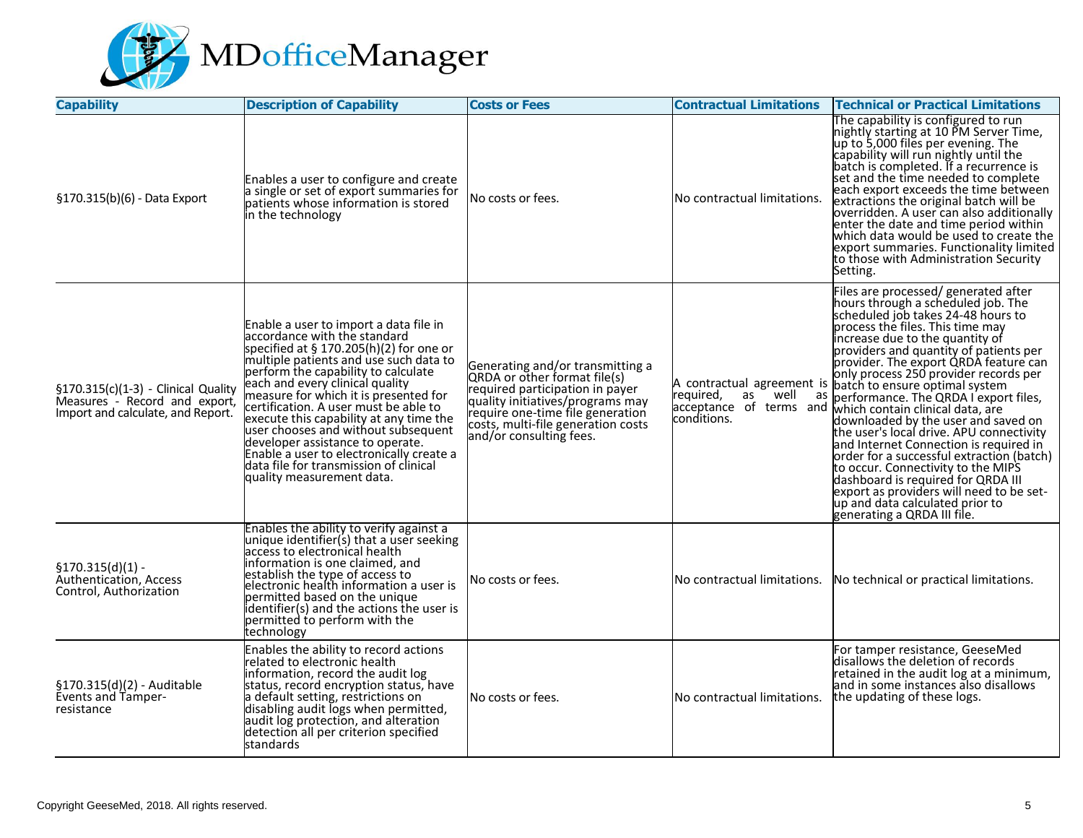

| <b>Capability</b>                                                                                         | <b>Description of Capability</b>                                                                                                                                                                                                                                                                                                                                                                                                                                                                                                                                   | <b>Costs or Fees</b>                                                                                                                                                                                                                         | <b>Contractual Limitations</b>                                       | <b>Technical or Practical Limitations</b>                                                                                                                                                                                                                                                                                                                                                                                                                                                                                                                                                                                                                                                                                                                                                                                                                 |
|-----------------------------------------------------------------------------------------------------------|--------------------------------------------------------------------------------------------------------------------------------------------------------------------------------------------------------------------------------------------------------------------------------------------------------------------------------------------------------------------------------------------------------------------------------------------------------------------------------------------------------------------------------------------------------------------|----------------------------------------------------------------------------------------------------------------------------------------------------------------------------------------------------------------------------------------------|----------------------------------------------------------------------|-----------------------------------------------------------------------------------------------------------------------------------------------------------------------------------------------------------------------------------------------------------------------------------------------------------------------------------------------------------------------------------------------------------------------------------------------------------------------------------------------------------------------------------------------------------------------------------------------------------------------------------------------------------------------------------------------------------------------------------------------------------------------------------------------------------------------------------------------------------|
| §170.315(b)(6) - Data Export                                                                              | Enables a user to configure and create<br>a single or set of export summaries for<br>patients whose information is stored<br>in the technology                                                                                                                                                                                                                                                                                                                                                                                                                     | INo costs or fees.                                                                                                                                                                                                                           | No contractual limitations.                                          | The capability is configured to run<br>mightly starting at 10 PM Server Time,<br>up to 5,000 files per evening. The<br>capability will run nightly until the<br>batch is completed. If a recurrence is<br>set and the time needed to complete<br>each export exceeds the time between<br>extractions the original batch will be<br>overridden. A user can also additionally<br>enter the date and time period within<br>which data would be used to create the<br>export summaries. Functionality limited<br>to those with Administration Security<br>Setting.                                                                                                                                                                                                                                                                                            |
| §170.315(c)(1-3) - Clinical Quality<br>Measures - Record and export,<br>Import and calculate, and Report. | Enable a user to import a data file in<br>accordance with the standard<br>specified at $§ 170.205(h)(2)$ for one or<br>multiple patients and use such data to<br>perform the capability to calculate<br>each and every clinical quality<br>measure for which it is presented for<br>certification. A user must be able to<br>execute this capability at any time the<br>user chooses and without subsequent<br>developer assistance to operate.<br>Enable a user to electronically create a<br>data file for transmission of clinical<br>quality measurement data. | Generating and/or transmitting a<br>QRDA or other format file(s)<br>required participation in payer<br>quality initiatives/programs may<br>require one-time file generation<br>costs, multi-file generation costs<br>and/or consulting fees. | A contractual agreement is<br>as<br>required,<br>well<br>conditions. | Files are processed/generated after<br>hours through a scheduled job. The<br>scheduled job takes 24-48 hours to<br>process the files. This time may<br>increase due to the quantity of<br>providers and quantity of patients per<br>provider. The export QRDA feature can<br>only process 250 provider records per<br>t is batch to ensure optimal system<br>as performance. The QRDA I export files,<br>acceptance of terms and which contain clinical data, are<br>downloaded by the user and saved on<br>the user's local drive. APU connectivity<br>and Internet Connection is required in<br>order for a successful extraction (batch)<br>to occur. Connectivity to the MIPS<br>construction of the dishboard is required for QRDA III<br>export as providers will need to be set-<br>up and data calculated prior to<br>generating a QRDA III file. |
| $$170.315(d)(1) -$<br>Authentication, Access<br>Control, Authorization                                    | Enables the ability to verify against a<br>unique identifier(s) that a user seeking<br>access to electronical health<br>information is one claimed, and<br>establish the type of access to<br>electronic health information a user is<br>permitted based on the unique<br>identifier(s) and the actions the user is<br>permitted to perform with the<br>technology                                                                                                                                                                                                 | No costs or fees.                                                                                                                                                                                                                            | No contractual limitations.                                          | No technical or practical limitations.                                                                                                                                                                                                                                                                                                                                                                                                                                                                                                                                                                                                                                                                                                                                                                                                                    |
| §170.315(d)(2) - Auditable<br><b>Events and Tamper-</b><br>resistance                                     | Enables the ability to record actions<br>related to electronic health<br>information, record the audit log<br>status, record encryption status, have<br>a default setting, restrictions on<br>disabling audit logs when permitted,<br>audit log protection, and alteration<br>detection all per criterion specified<br>standards                                                                                                                                                                                                                                   | lNo costs or fees.                                                                                                                                                                                                                           | No contractual limitations.                                          | For tamper resistance, GeeseMed<br>disallows the deletion of records<br>retained in the audit log at a minimum,<br>and in some instances also disallows<br>the updating of these logs.                                                                                                                                                                                                                                                                                                                                                                                                                                                                                                                                                                                                                                                                    |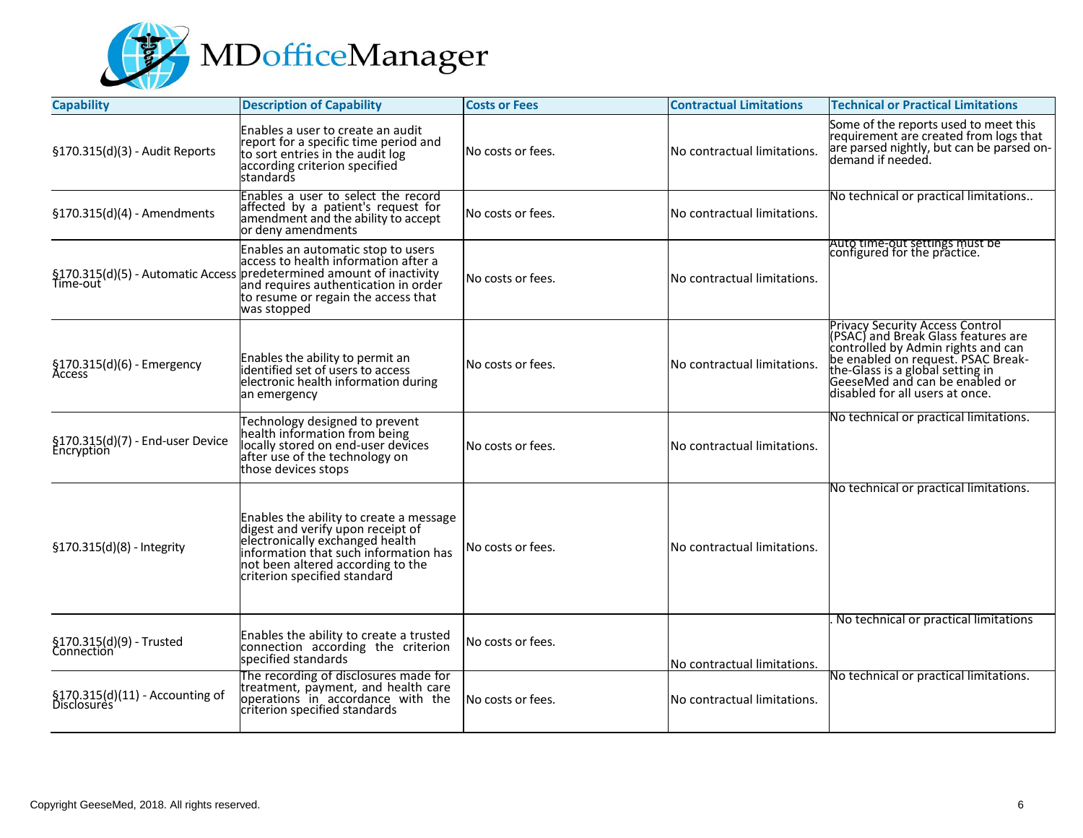

| <b>Capability</b>                              | <b>Description of Capability</b>                                                                                                                                                                                                           | <b>Costs or Fees</b> | <b>Contractual Limitations</b> | <b>Technical or Practical Limitations</b>                                                                                                                                                                                                                   |
|------------------------------------------------|--------------------------------------------------------------------------------------------------------------------------------------------------------------------------------------------------------------------------------------------|----------------------|--------------------------------|-------------------------------------------------------------------------------------------------------------------------------------------------------------------------------------------------------------------------------------------------------------|
| §170.315(d)(3) - Audit Reports                 | Enables a user to create an audit<br>report for a specific time period and<br>to sort entries in the audit log<br>according criterion specified<br>standards                                                                               | No costs or fees.    | No contractual limitations.    | Some of the reports used to meet this<br>requirement are created from logs that<br>are parsed nightly, but can be parsed on-<br>demand if needed.                                                                                                           |
| $$170.315(d)(4)$ - Amendments                  | Enables a user to select the record<br>affected by a patient's request for<br>amendment and the ability to accept<br>or deny amendments                                                                                                    | No costs or fees.    | No contractual limitations.    | No technical or practical limitations                                                                                                                                                                                                                       |
|                                                | Enables an automatic stop to users<br>access to health information after a<br>success to reality information after a<br>Time-out<br>Time-out<br>and requires authentication in order<br>to resume or regain the access that<br>was stopped | No costs or fees.    | No contractual limitations.    | Auto time-out settings must be<br>configured for the practice.                                                                                                                                                                                              |
| §170.315(d)(6) - Emergency<br>Access           | Enables the ability to permit an<br>identified set of users to access<br>electronic health information during<br>an emergency                                                                                                              | No costs or fees.    | No contractual limitations.    | Privacy Security Access Control<br>(PSAC) and Break Glass features are<br>controlled by Admin rights and can<br>be enabled on request. PSAC Break-<br>the-Glass is a global setting in<br>GeeseMed and can be enabled or<br>disabled for all users at once. |
| §170.315(d)(7) - End-user Device<br>Encryption | Technology designed to prevent<br>health information from being<br>locally stored on end-user devices<br>after use of the technology on<br>those devices stops                                                                             | No costs or fees.    | No contractual limitations.    | No technical or practical limitations.                                                                                                                                                                                                                      |
| §170.315(d)(8) - Integrity                     | Enables the ability to create a message<br>digest and verify upon receipt of<br>electronically exchanged health<br>information that such information has<br>not been altered according to the<br>criterion specified standard              | No costs or fees.    | No contractual limitations.    | No technical or practical limitations.                                                                                                                                                                                                                      |
| §170.315(d)(9) - Trusted<br>Connection         | Enables the ability to create a trusted<br>connection according the criterion<br>specified standards                                                                                                                                       | No costs or fees.    | No contractual limitations.    | No technical or practical limitations                                                                                                                                                                                                                       |
| §170.315(d)(11) - Accounting of<br>Disclosures | The recording of disclosures made for<br>treatment, payment, and health care<br>operations in accordance with the<br>criterion specified standards                                                                                         | No costs or fees.    | No contractual limitations.    | No technical or practical limitations.                                                                                                                                                                                                                      |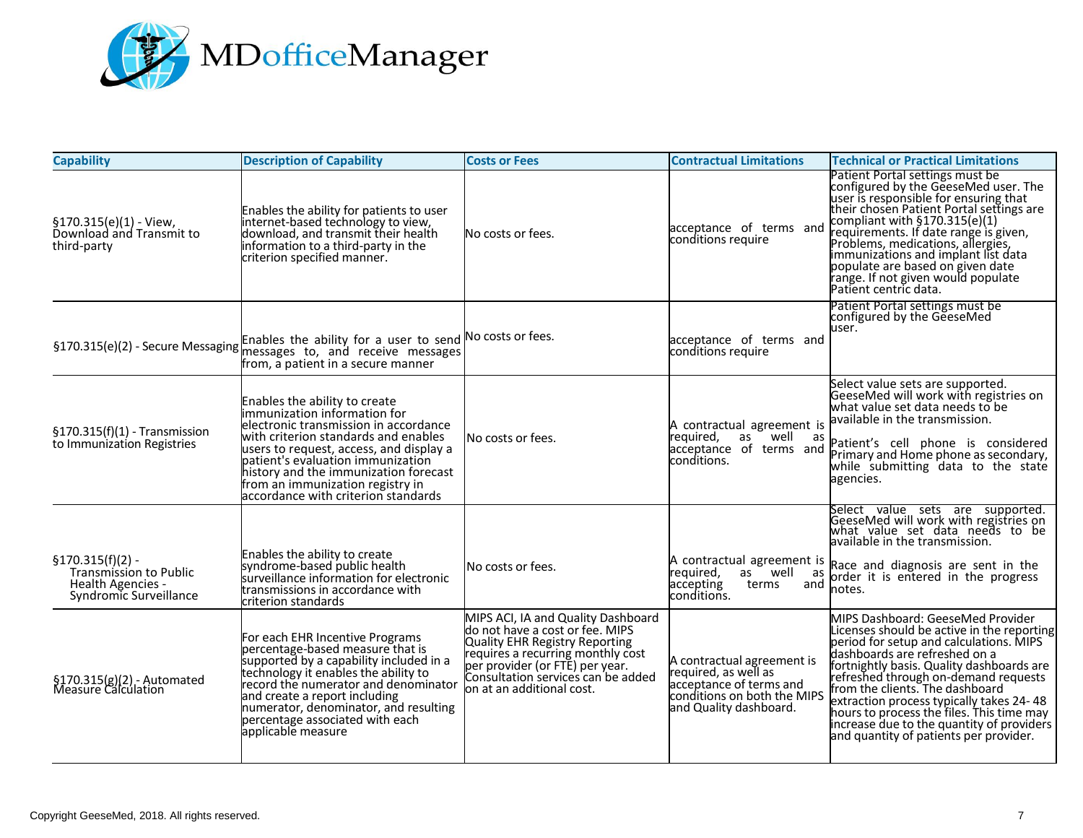

| <b>Capability</b>                                                                                  | <b>Description of Capability</b>                                                                                                                                                                                                                                                                                                                   | <b>Costs or Fees</b>                                                                                                                                                                                                                                | <b>Contractual Limitations</b>                                                                                                         | <b>Technical or Practical Limitations</b>                                                                                                                                                                                                                                                                                                                                                                                                                           |
|----------------------------------------------------------------------------------------------------|----------------------------------------------------------------------------------------------------------------------------------------------------------------------------------------------------------------------------------------------------------------------------------------------------------------------------------------------------|-----------------------------------------------------------------------------------------------------------------------------------------------------------------------------------------------------------------------------------------------------|----------------------------------------------------------------------------------------------------------------------------------------|---------------------------------------------------------------------------------------------------------------------------------------------------------------------------------------------------------------------------------------------------------------------------------------------------------------------------------------------------------------------------------------------------------------------------------------------------------------------|
| §170.315(e)(1) - View,<br>Download and Transmit to<br>third-party                                  | Enables the ability for patients to user<br>internet-based technology to view,<br>download, and transmit their health<br>information to a third-party in the<br>criterion specified manner.                                                                                                                                                        | No costs or fees.                                                                                                                                                                                                                                   | acceptance of terms and<br>conditions require                                                                                          | Patient Portal settings must be<br>configured by the GeeseMed user. The<br>user is responsible for ensuring that<br>their chosen Patient Portal settings are<br>compliant with §170.315(e)(1)<br>requirements. If date range is given,<br>Problems, medications, allergies,<br>immunizations and implant list data<br>populate are based on given date<br>range. If not given would populate<br>Patient centric data.                                               |
| §170.315(e)(2) - Secure Messaging                                                                  | Enables the ability for a user to send No costs or fees.<br>messages to, and receive messages<br>from, a patient in a secure manner                                                                                                                                                                                                                |                                                                                                                                                                                                                                                     | acceptance of terms and<br>conditions require                                                                                          | Patient Portal settings must be<br>configured by the GeeseMed<br>user.                                                                                                                                                                                                                                                                                                                                                                                              |
| $$170.315(f)(1)$ - Transmission<br>to Immunization Registries                                      | Enables the ability to create<br>immunization information for<br>electronic transmission in accordance<br>with criterion standards and enables<br>users to request, access, and display a<br>patient's evaluation immunization<br>history and the immunization forecast<br>from an immunization registry in<br>accordance with criterion standards | lNo costs or fees.                                                                                                                                                                                                                                  | A contractual agreement is<br>reguired,<br>as well as<br>lacceptance of terms and<br>conditions.                                       | Select value sets are supported.<br>GeeseMed will work with registries on<br>what value set data needs to be<br>available in the transmission.<br>Patient's cell phone is considered<br>Primary and Home phone as secondary,<br>while submitting data to the state<br>agencies.                                                                                                                                                                                     |
| $§170.315(f)(2) -$<br><b>Transmission to Public</b><br>Health Agencies -<br>Syndromic Surveillance | Enables the ability to create<br>syndrome-based public health<br>surveillance information for electronic<br>transmissions in accordance with<br>criterion standards                                                                                                                                                                                | No costs or fees.                                                                                                                                                                                                                                   | reguired,<br>as well as<br>accepting<br>terms<br>and<br>conditions.                                                                    | Select value sets are supported.<br>GeeseMed will work with registries on<br>what value set data needs to be<br>available in the transmission.<br>A contractual agreement is Race and diagnosis are sent in the<br>order it is entered in the progress<br>notes.                                                                                                                                                                                                    |
| §170.315(g)(2) - Automated<br>Measure Calculation                                                  | For each EHR Incentive Programs<br>percentage-based measure that is<br>supported by a capability included in a<br>technology it enables the ability to<br>record the numerator and denominator<br>and create a report including<br>numerator, denominator, and resulting<br>percentage associated with each<br>applicable measure                  | MIPS ACI, IA and Quality Dashboard<br>do not have a cost or fee. MIPS<br>Quality EHR Registry Reporting<br>requires a recurring monthly cost<br>per provider (or FTE) per year.<br>Consultation services can be added<br>lon at an additional cost. | A contractual agreement is<br>required, as well as<br>acceptance of terms and<br>conditions on both the MIPS<br>and Quality dashboard. | MIPS Dashboard: GeeseMed Provider<br>Licenses should be active in the reporting<br>period for setup and calculations. MIPS<br>dashboards are refreshed on a<br>fortnightly basis. Quality dashboards are<br>refreshed through on-demand requests<br>from the clients. The dashboard<br>extraction process typically takes 24-48<br>hours to process the files. This time may<br>increase due to the quantity of providers<br>and quantity of patients per provider. |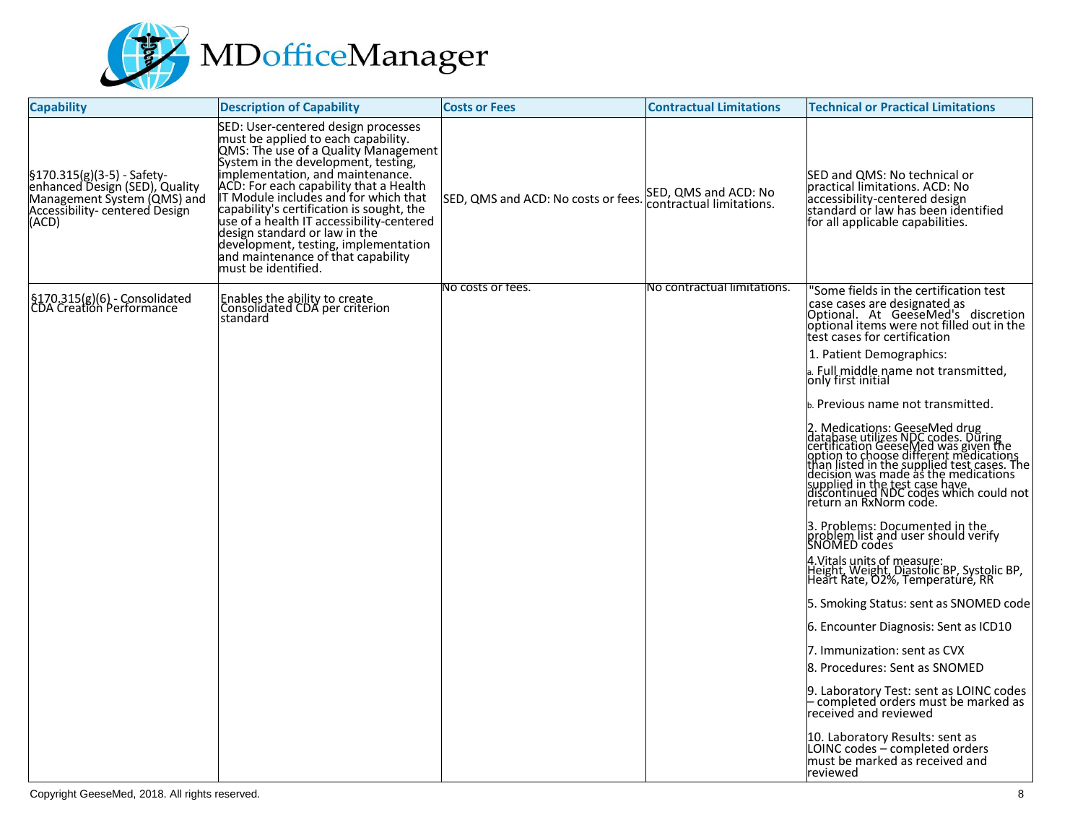

| <b>Capability</b>                                                                                                                       | <b>Description of Capability</b>                                                                                                                                                                                                                                                                                                                                                                                                                                                                                 | <b>Costs or Fees</b>                | <b>Contractual Limitations</b>                   | <b>Technical or Practical Limitations</b>                                                                                                                                                                                                                                                                                                                                                                                                                                                                                                                                                                                                                                                                                                                                                                                                                                                                                                                                                                                                                                                                                                                               |
|-----------------------------------------------------------------------------------------------------------------------------------------|------------------------------------------------------------------------------------------------------------------------------------------------------------------------------------------------------------------------------------------------------------------------------------------------------------------------------------------------------------------------------------------------------------------------------------------------------------------------------------------------------------------|-------------------------------------|--------------------------------------------------|-------------------------------------------------------------------------------------------------------------------------------------------------------------------------------------------------------------------------------------------------------------------------------------------------------------------------------------------------------------------------------------------------------------------------------------------------------------------------------------------------------------------------------------------------------------------------------------------------------------------------------------------------------------------------------------------------------------------------------------------------------------------------------------------------------------------------------------------------------------------------------------------------------------------------------------------------------------------------------------------------------------------------------------------------------------------------------------------------------------------------------------------------------------------------|
| $$170.315(g)(3-5) - Safety-$<br>enhanced Design (SED), Quality<br>Management System (QMS) and<br>Accessibility-centered Design<br>(ACD) | SED: User-centered design processes<br>must be applied to each capability.<br>QMS: The use of a Quality Management<br>System in the development, testing,<br>implementation, and maintenance.<br>ACD: For each capability that a Health<br>IT Module includes and for which that<br>capability's certification is sought, the<br>use of a health IT accessibility-centered<br>design standard or law in the<br>development, testing, implementation<br>and maintenance of that capability<br>must be identified. | SED, QMS and ACD: No costs or fees. | SED, QMS and ACD: No<br>contractual limitations. | SED and QMS: No technical or<br>practical limitations. ACD: No<br>accessibility-centered design<br>standard or law has been identified<br>for all applicable capabilities.                                                                                                                                                                                                                                                                                                                                                                                                                                                                                                                                                                                                                                                                                                                                                                                                                                                                                                                                                                                              |
| §170.315(g)(6) - Consolidated<br> CDA Creation Performance                                                                              | Enables the ability to create<br>Consolidated CDA per criterion<br>standard                                                                                                                                                                                                                                                                                                                                                                                                                                      | No costs or fees.                   | No contractual limitations.                      | 'Some fields in the certification test<br>case cases are designated as<br>Optional. At GeeseMed's discretion<br>optional items were not filled out in the<br>test cases for certification<br>1. Patient Demographics:<br>a. Full middle name not transmitted,<br>only first initial<br>Previous name not transmitted.<br>2. Medications: GeeseMed drug<br>database utilizes NDC codes. During<br>certification GeeseMed was given the<br>phon to choose different medications<br>than listed in the supplied test cases. The<br>decision was made as the medications<br>s<br>3. Problems: Documented in the<br>problem list and user should verify<br>SNOMED codes<br>4.Vitals units of measure:<br>Height, Weight, Diastolic BP, Systolic BP,<br>Heart Rate, O2%, Temperature, RR<br>5. Smoking Status: sent as SNOMED code  <br>6. Encounter Diagnosis: Sent as ICD10<br>7. Immunization: sent as CVX<br>8. Procedures: Sent as SNOMED<br>9. Laboratory Test: sent as LOINC codes<br>- completed orders must be marked as<br>received and reviewed<br>10. Laboratory Results: sent as<br>LOINC codes – completed orders<br>must be marked as received and<br>reviewed |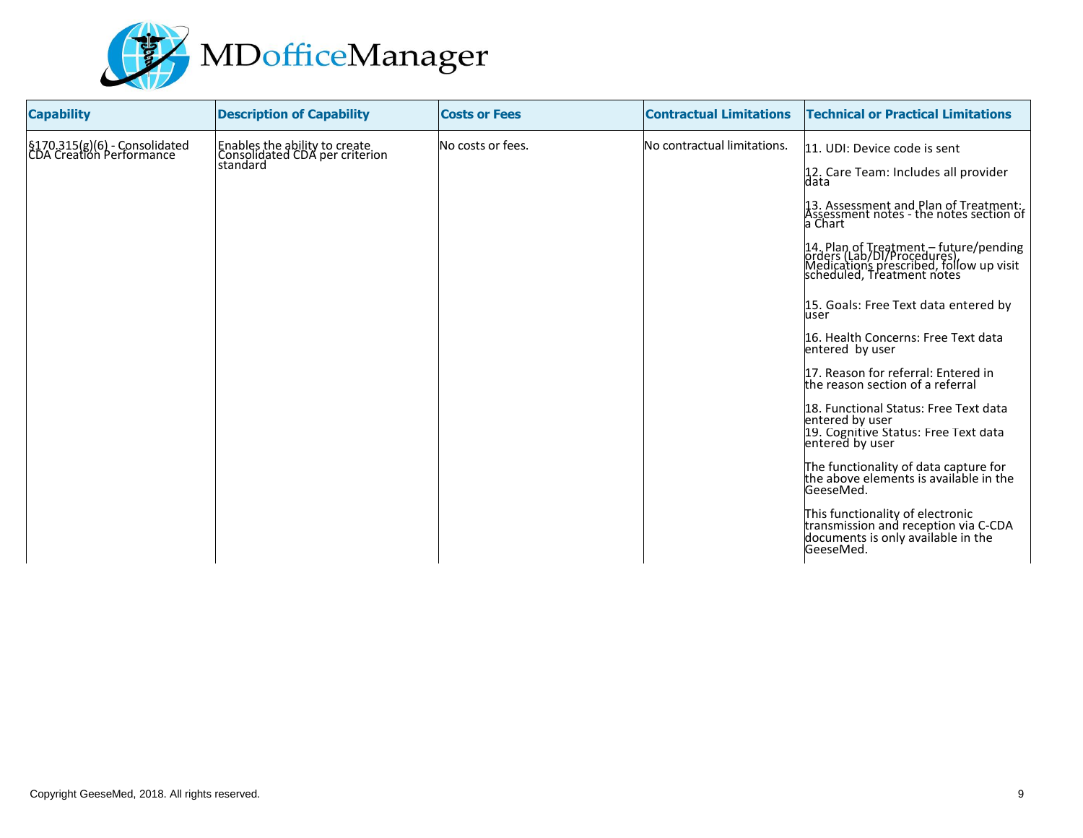

| <b>Capability</b>                                          | <b>Description of Capability</b>                                            | <b>Costs or Fees</b> | <b>Contractual Limitations</b> | <b>Technical or Practical Limitations</b>                                                                                                     |
|------------------------------------------------------------|-----------------------------------------------------------------------------|----------------------|--------------------------------|-----------------------------------------------------------------------------------------------------------------------------------------------|
| §170.315(g)(6) - Consolidated<br> CDA Creation Performance | Enables the ability to create<br>Consolidated CDA per criterion<br>standard | No costs or fees.    | No contractual limitations.    | 11. UDI: Device code is sent                                                                                                                  |
|                                                            |                                                                             |                      |                                | 12. Care Team: Includes all provider<br>data                                                                                                  |
|                                                            |                                                                             |                      |                                | 13. Assessment and Plan of Treatment:<br>Assessment notes - the notes section of<br>a Chart                                                   |
|                                                            |                                                                             |                      |                                | 14. Plan of Treatment – future/pending<br>orders (Lab/DI/Procedures)<br>Medications prescribed, follow up visit<br>scheduled, Treatment notes |
|                                                            |                                                                             |                      |                                | 15. Goals: Free Text data entered by<br>user                                                                                                  |
|                                                            |                                                                             |                      |                                | 16. Health Concerns: Free Text data<br>entered by user                                                                                        |
|                                                            |                                                                             |                      |                                | 17. Reason for referral: Entered in<br>the reason section of a referral                                                                       |
|                                                            |                                                                             |                      |                                | 18. Functional Status: Free Text data<br>entered by user<br>19. Cognitive Status: Free Text data<br>entered by user                           |
|                                                            |                                                                             |                      |                                | The functionality of data capture for<br>the above elements is available in the<br>GeeseMed.                                                  |
|                                                            |                                                                             |                      |                                | This functionality of electronic<br>transmission and reception via C-CDA<br>documents is only available in the<br>GeeseMed.                   |